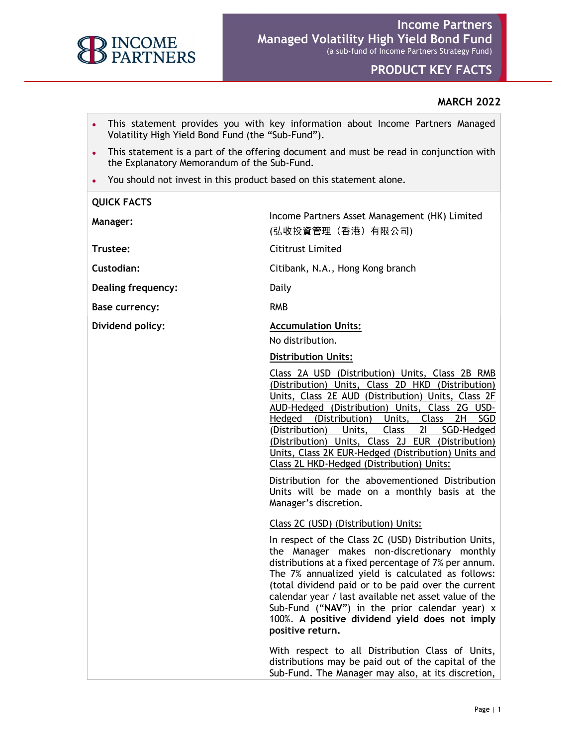

# MARCH 2022

- This statement provides you with key information about Income Partners Managed Volatility High Yield Bond Fund (the "Sub-Fund").
- This statement is a part of the offering document and must be read in conjunction with the Explanatory Memorandum of the Sub-Fund.
- You should not invest in this product based on this statement alone.

| <b>QUICK FACTS</b>        |                                                                                                                                                                                                                                                                                                                                                                                                                                                                                          |
|---------------------------|------------------------------------------------------------------------------------------------------------------------------------------------------------------------------------------------------------------------------------------------------------------------------------------------------------------------------------------------------------------------------------------------------------------------------------------------------------------------------------------|
| Manager:                  | Income Partners Asset Management (HK) Limited<br>(弘收投資管理(香港)有限公司)                                                                                                                                                                                                                                                                                                                                                                                                                        |
| Trustee:                  | <b>Cititrust Limited</b>                                                                                                                                                                                                                                                                                                                                                                                                                                                                 |
| Custodian:                | Citibank, N.A., Hong Kong branch                                                                                                                                                                                                                                                                                                                                                                                                                                                         |
| <b>Dealing frequency:</b> | Daily                                                                                                                                                                                                                                                                                                                                                                                                                                                                                    |
| <b>Base currency:</b>     | <b>RMB</b>                                                                                                                                                                                                                                                                                                                                                                                                                                                                               |
| Dividend policy:          | <b>Accumulation Units:</b><br>No distribution.                                                                                                                                                                                                                                                                                                                                                                                                                                           |
|                           | <b>Distribution Units:</b>                                                                                                                                                                                                                                                                                                                                                                                                                                                               |
|                           | Class 2A USD (Distribution) Units, Class 2B RMB<br>(Distribution) Units, Class 2D HKD (Distribution)<br>Units, Class 2E AUD (Distribution) Units, Class 2F<br>AUD-Hedged (Distribution) Units, Class 2G USD-<br>Hedged (Distribution) Units, Class<br>2H<br><b>SGD</b><br>(Distribution)<br>Units,<br>Class<br>SGD-Hedged<br>21<br>(Distribution) Units, Class 2J EUR (Distribution)<br>Units, Class 2K EUR-Hedged (Distribution) Units and<br>Class 2L HKD-Hedged (Distribution) Units: |
|                           | Distribution for the abovementioned Distribution<br>Units will be made on a monthly basis at the<br>Manager's discretion.                                                                                                                                                                                                                                                                                                                                                                |
|                           | Class 2C (USD) (Distribution) Units:                                                                                                                                                                                                                                                                                                                                                                                                                                                     |
|                           | In respect of the Class 2C (USD) Distribution Units,<br>the Manager makes non-discretionary monthly<br>distributions at a fixed percentage of 7% per annum.<br>The 7% annualized yield is calculated as follows:<br>(total dividend paid or to be paid over the current<br>calendar year / last available net asset value of the<br>Sub-Fund ("NAV") in the prior calendar year) x<br>100%. A positive dividend yield does not imply<br>positive return.                                 |
|                           | With respect to all Distribution Class of Units,<br>distributions may be paid out of the capital of the<br>Sub-Fund. The Manager may also, at its discretion,                                                                                                                                                                                                                                                                                                                            |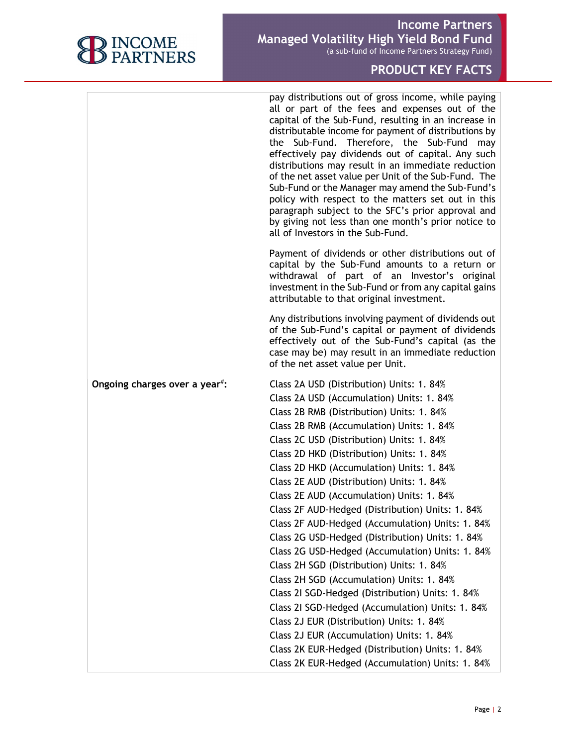

pay distributions out of gross income, while paying all or part of the fees and expenses out of the capital of the Sub-Fund, resulting in an increase in distributable income for payment of distributions by the Sub-Fund. Therefore, the Sub-Fund may effectively pay dividends out of capital. Any such distributions may result in an immediate reduction of the net asset value per Unit of the Sub-Fund. The Sub-Fund or the Manager may amend the Sub-Fund's policy with respect to the matters set out in this paragraph subject to the SFC's prior approval and by giving not less than one month's prior notice to all of Investors in the Sub-Fund.

Payment of dividends or other distributions out of capital by the Sub-Fund amounts to a return or withdrawal of part of an Investor's original investment in the Sub-Fund or from any capital gains attributable to that original investment.

Any distributions involving payment of dividends out of the Sub-Fund's capital or payment of dividends effectively out of the Sub-Fund's capital (as the case may be) may result in an immediate reduction of the net asset value per Unit.

| Ongoing charges over a year <sup>#</sup> : | Class 2A USD (Distribution) Units: 1. 84%        |
|--------------------------------------------|--------------------------------------------------|
|                                            | Class 2A USD (Accumulation) Units: 1. 84%        |
|                                            | Class 2B RMB (Distribution) Units: 1. 84%        |
|                                            | Class 2B RMB (Accumulation) Units: 1. 84%        |
|                                            | Class 2C USD (Distribution) Units: 1. 84%        |
|                                            | Class 2D HKD (Distribution) Units: 1. 84%        |
|                                            | Class 2D HKD (Accumulation) Units: 1. 84%        |
|                                            | Class 2E AUD (Distribution) Units: 1. 84%        |
|                                            | Class 2E AUD (Accumulation) Units: 1. 84%        |
|                                            | Class 2F AUD-Hedged (Distribution) Units: 1. 84% |
|                                            | Class 2F AUD-Hedged (Accumulation) Units: 1. 84% |
|                                            | Class 2G USD-Hedged (Distribution) Units: 1.84%  |
|                                            | Class 2G USD-Hedged (Accumulation) Units: 1. 84% |
|                                            | Class 2H SGD (Distribution) Units: 1. 84%        |
|                                            | Class 2H SGD (Accumulation) Units: 1. 84%        |
|                                            | Class 2I SGD-Hedged (Distribution) Units: 1. 84% |
|                                            | Class 2I SGD-Hedged (Accumulation) Units: 1. 84% |
|                                            | Class 2J EUR (Distribution) Units: 1. 84%        |
|                                            | Class 2J EUR (Accumulation) Units: 1. 84%        |
|                                            | Class 2K EUR-Hedged (Distribution) Units: 1. 84% |
|                                            | Class 2K EUR-Hedged (Accumulation) Units: 1. 84% |
|                                            |                                                  |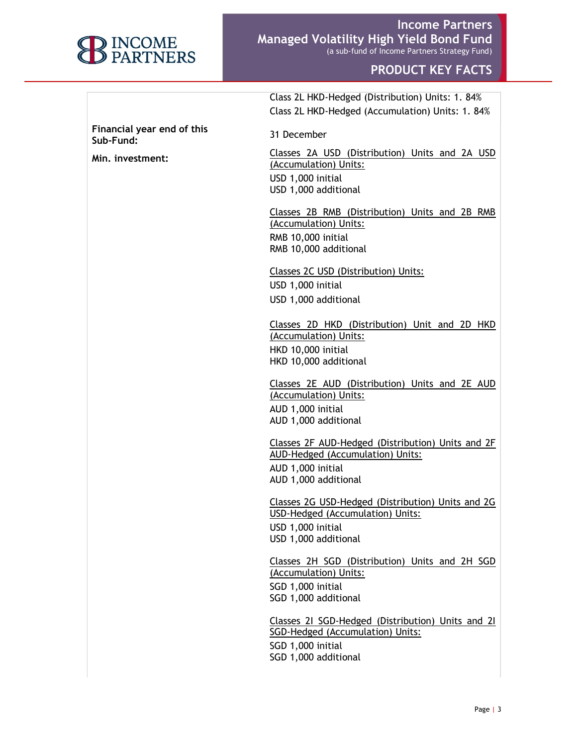

**Example 21 Managed Volatility High Yield Bond Fund Result** Income Partners (a sub-fund of Income Partners Strategy Fund)

# PRODUCT KEY FACTS

Class 2L HKD-Hedged (Distribution) Units: 1. 84% Class 2L HKD-Hedged (Accumulation) Units: 1. 84%

Financial year end of this Sub-Fund: 31 December

Min. investment: Classes 2A USD (Distribution) Units and 2A USD (Accumulation) Units: USD 1,000 initial USD 1,000 additional

> Classes 2B RMB (Distribution) Units and 2B RMB (Accumulation) Units: RMB 10,000 initial RMB 10,000 additional

Classes 2C USD (Distribution) Units: USD 1,000 initial USD 1,000 additional

Classes 2D HKD (Distribution) Unit and 2D HKD (Accumulation) Units: HKD 10,000 initial HKD 10,000 additional

Classes 2E AUD (Distribution) Units and 2E AUD (Accumulation) Units: AUD 1,000 initial AUD 1,000 additional

Classes 2F AUD-Hedged (Distribution) Units and 2F AUD-Hedged (Accumulation) Units: AUD 1,000 initial AUD 1,000 additional

Classes 2G USD-Hedged (Distribution) Units and 2G USD-Hedged (Accumulation) Units: USD 1,000 initial USD 1,000 additional

Classes 2H SGD (Distribution) Units and 2H SGD (Accumulation) Units: SGD 1,000 initial SGD 1,000 additional

Classes 2I SGD-Hedged (Distribution) Units and 2I SGD-Hedged (Accumulation) Units: SGD 1,000 initial SGD 1,000 additional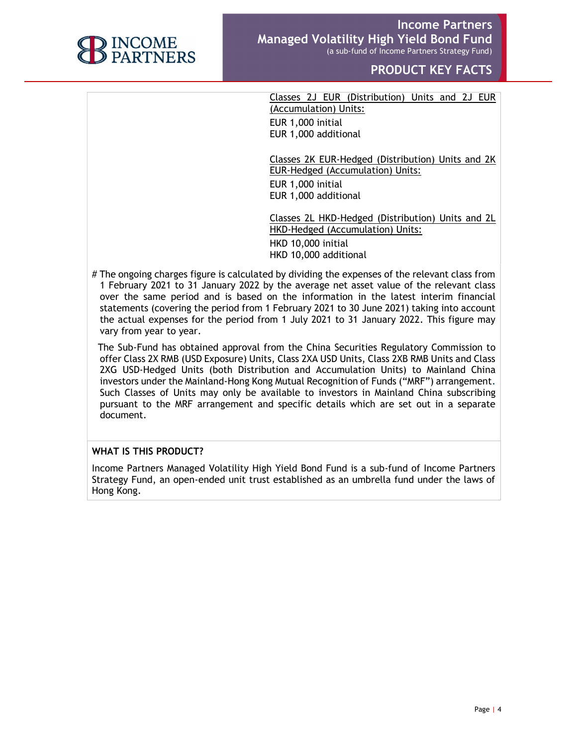

Classes 2J EUR (Distribution) Units and 2J EUR (Accumulation) Units: EUR 1,000 initial EUR 1,000 additional

Classes 2K EUR-Hedged (Distribution) Units and 2K EUR-Hedged (Accumulation) Units: EUR 1,000 initial EUR 1,000 additional

Classes 2L HKD-Hedged (Distribution) Units and 2L HKD-Hedged (Accumulation) Units: HKD 10,000 initial HKD 10,000 additional

# The ongoing charges figure is calculated by dividing the expenses of the relevant class from 1 February 2021 to 31 January 2022 by the average net asset value of the relevant class over the same period and is based on the information in the latest interim financial statements (covering the period from 1 February 2021 to 30 June 2021) taking into account the actual expenses for the period from 1 July 2021 to 31 January 2022. This figure may vary from year to year.

 The Sub-Fund has obtained approval from the China Securities Regulatory Commission to offer Class 2X RMB (USD Exposure) Units, Class 2XA USD Units, Class 2XB RMB Units and Class 2XG USD-Hedged Units (both Distribution and Accumulation Units) to Mainland China investors under the Mainland-Hong Kong Mutual Recognition of Funds ("MRF") arrangement. Such Classes of Units may only be available to investors in Mainland China subscribing pursuant to the MRF arrangement and specific details which are set out in a separate document.

# WHAT IS THIS PRODUCT?

Income Partners Managed Volatility High Yield Bond Fund is a sub-fund of Income Partners Strategy Fund, an open-ended unit trust established as an umbrella fund under the laws of Hong Kong.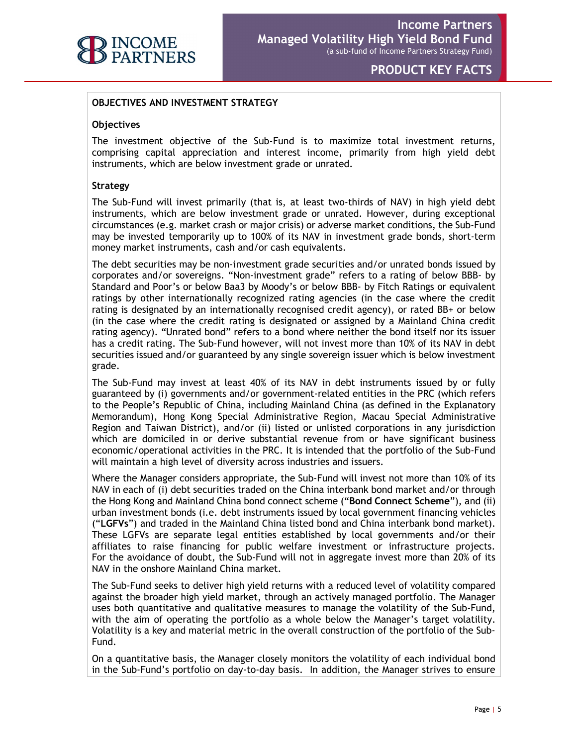

## OBJECTIVES AND INVESTMENT STRATEGY

### **Objectives**

The investment objective of the Sub-Fund is to maximize total investment returns, comprising capital appreciation and interest income, primarily from high yield debt instruments, which are below investment grade or unrated.

#### Strategy

The Sub-Fund will invest primarily (that is, at least two-thirds of NAV) in high yield debt instruments, which are below investment grade or unrated. However, during exceptional circumstances (e.g. market crash or major crisis) or adverse market conditions, the Sub-Fund may be invested temporarily up to 100% of its NAV in investment grade bonds, short-term money market instruments, cash and/or cash equivalents.

The debt securities may be non-investment grade securities and/or unrated bonds issued by corporates and/or sovereigns. "Non-investment grade" refers to a rating of below BBB- by Standard and Poor's or below Baa3 by Moody's or below BBB- by Fitch Ratings or equivalent ratings by other internationally recognized rating agencies (in the case where the credit rating is designated by an internationally recognised credit agency), or rated BB+ or below (in the case where the credit rating is designated or assigned by a Mainland China credit rating agency). "Unrated bond" refers to a bond where neither the bond itself nor its issuer has a credit rating. The Sub-Fund however, will not invest more than 10% of its NAV in debt securities issued and/or guaranteed by any single sovereign issuer which is below investment grade.

The Sub-Fund may invest at least 40% of its NAV in debt instruments issued by or fully guaranteed by (i) governments and/or government-related entities in the PRC (which refers to the People's Republic of China, including Mainland China (as defined in the Explanatory Memorandum), Hong Kong Special Administrative Region, Macau Special Administrative Region and Taiwan District), and/or (ii) listed or unlisted corporations in any jurisdiction which are domiciled in or derive substantial revenue from or have significant business economic/operational activities in the PRC. It is intended that the portfolio of the Sub-Fund will maintain a high level of diversity across industries and issuers.

Where the Manager considers appropriate, the Sub-Fund will invest not more than 10% of its NAV in each of (i) debt securities traded on the China interbank bond market and/or through the Hong Kong and Mainland China bond connect scheme ("Bond Connect Scheme"), and (ii) urban investment bonds (i.e. debt instruments issued by local government financing vehicles ("LGFVs") and traded in the Mainland China listed bond and China interbank bond market). These LGFVs are separate legal entities established by local governments and/or their affiliates to raise financing for public welfare investment or infrastructure projects. For the avoidance of doubt, the Sub-Fund will not in aggregate invest more than 20% of its NAV in the onshore Mainland China market.

The Sub-Fund seeks to deliver high yield returns with a reduced level of volatility compared against the broader high yield market, through an actively managed portfolio. The Manager uses both quantitative and qualitative measures to manage the volatility of the Sub-Fund, with the aim of operating the portfolio as a whole below the Manager's target volatility. Volatility is a key and material metric in the overall construction of the portfolio of the Sub-Fund.

On a quantitative basis, the Manager closely monitors the volatility of each individual bond in the Sub-Fund's portfolio on day-to-day basis. In addition, the Manager strives to ensure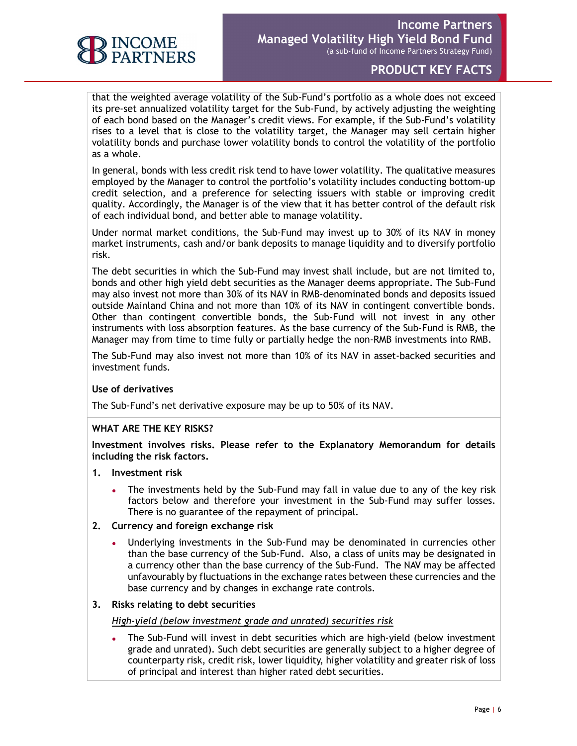

that the weighted average volatility of the Sub-Fund's portfolio as a whole does not exceed its pre-set annualized volatility target for the Sub-Fund, by actively adjusting the weighting of each bond based on the Manager's credit views. For example, if the Sub-Fund's volatility rises to a level that is close to the volatility target, the Manager may sell certain higher volatility bonds and purchase lower volatility bonds to control the volatility of the portfolio as a whole.

In general, bonds with less credit risk tend to have lower volatility. The qualitative measures employed by the Manager to control the portfolio's volatility includes conducting bottom-up credit selection, and a preference for selecting issuers with stable or improving credit quality. Accordingly, the Manager is of the view that it has better control of the default risk of each individual bond, and better able to manage volatility.

Under normal market conditions, the Sub-Fund may invest up to 30% of its NAV in money market instruments, cash and/or bank deposits to manage liquidity and to diversify portfolio risk.

The debt securities in which the Sub-Fund may invest shall include, but are not limited to, bonds and other high yield debt securities as the Manager deems appropriate. The Sub-Fund may also invest not more than 30% of its NAV in RMB-denominated bonds and deposits issued outside Mainland China and not more than 10% of its NAV in contingent convertible bonds. Other than contingent convertible bonds, the Sub-Fund will not invest in any other instruments with loss absorption features. As the base currency of the Sub-Fund is RMB, the Manager may from time to time fully or partially hedge the non-RMB investments into RMB.

The Sub-Fund may also invest not more than 10% of its NAV in asset-backed securities and investment funds.

### Use of derivatives

The Sub-Fund's net derivative exposure may be up to 50% of its NAV.

### WHAT ARE THE KEY RISKS?

Investment involves risks. Please refer to the Explanatory Memorandum for details including the risk factors.

- 1. Investment risk
	- The investments held by the Sub-Fund may fall in value due to any of the key risk factors below and therefore your investment in the Sub-Fund may suffer losses. There is no guarantee of the repayment of principal.
- 2. Currency and foreign exchange risk
	- Underlying investments in the Sub-Fund may be denominated in currencies other than the base currency of the Sub-Fund. Also, a class of units may be designated in a currency other than the base currency of the Sub-Fund. The NAV may be affected unfavourably by fluctuations in the exchange rates between these currencies and the base currency and by changes in exchange rate controls.

### 3. Risks relating to debt securities

High-yield (below investment grade and unrated) securities risk

The Sub-Fund will invest in debt securities which are high-yield (below investment grade and unrated). Such debt securities are generally subject to a higher degree of counterparty risk, credit risk, lower liquidity, higher volatility and greater risk of loss of principal and interest than higher rated debt securities.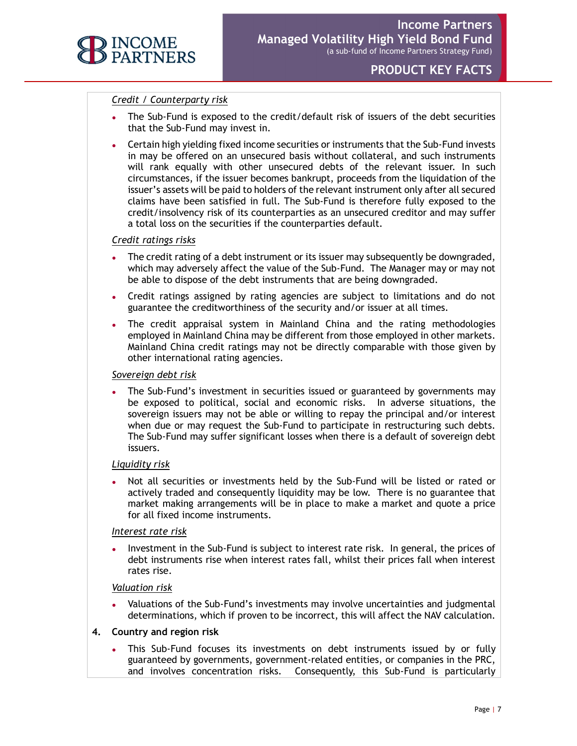

## Credit / Counterparty risk

- The Sub-Fund is exposed to the credit/default risk of issuers of the debt securities that the Sub-Fund may invest in.
- Certain high yielding fixed income securities or instruments that the Sub-Fund invests in may be offered on an unsecured basis without collateral, and such instruments will rank equally with other unsecured debts of the relevant issuer. In such circumstances, if the issuer becomes bankrupt, proceeds from the liquidation of the issuer's assets will be paid to holders of the relevant instrument only after all secured claims have been satisfied in full. The Sub-Fund is therefore fully exposed to the credit/insolvency risk of its counterparties as an unsecured creditor and may suffer a total loss on the securities if the counterparties default.

### Credit ratings risks

- The credit rating of a debt instrument or its issuer may subsequently be downgraded, which may adversely affect the value of the Sub-Fund. The Manager may or may not be able to dispose of the debt instruments that are being downgraded.
- Credit ratings assigned by rating agencies are subject to limitations and do not guarantee the creditworthiness of the security and/or issuer at all times.
- The credit appraisal system in Mainland China and the rating methodologies employed in Mainland China may be different from those employed in other markets. Mainland China credit ratings may not be directly comparable with those given by other international rating agencies.

#### Sovereign debt risk

The Sub-Fund's investment in securities issued or guaranteed by governments may be exposed to political, social and economic risks. In adverse situations, the sovereign issuers may not be able or willing to repay the principal and/or interest when due or may request the Sub-Fund to participate in restructuring such debts. The Sub-Fund may suffer significant losses when there is a default of sovereign debt issuers.

### Liquidity risk

Not all securities or investments held by the Sub-Fund will be listed or rated or actively traded and consequently liquidity may be low. There is no guarantee that market making arrangements will be in place to make a market and quote a price for all fixed income instruments.

### Interest rate risk

Investment in the Sub-Fund is subject to interest rate risk. In general, the prices of debt instruments rise when interest rates fall, whilst their prices fall when interest rates rise.

#### Valuation risk

Valuations of the Sub-Fund's investments may involve uncertainties and judgmental determinations, which if proven to be incorrect, this will affect the NAV calculation.

### 4. Country and region risk

This Sub-Fund focuses its investments on debt instruments issued by or fully guaranteed by governments, government-related entities, or companies in the PRC, and involves concentration risks. Consequently, this Sub-Fund is particularly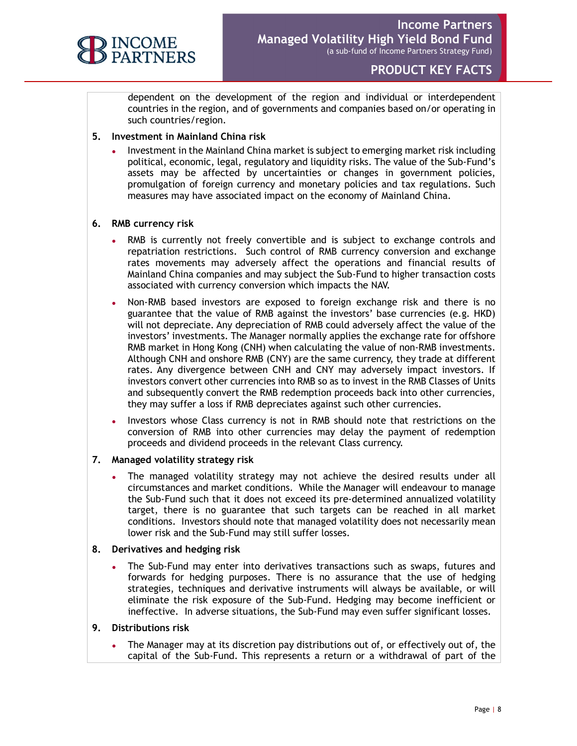

dependent on the development of the region and individual or interdependent countries in the region, and of governments and companies based on/or operating in such countries/region.

- 5. Investment in Mainland China risk
	- Investment in the Mainland China market is subject to emerging market risk including political, economic, legal, regulatory and liquidity risks. The value of the Sub-Fund's assets may be affected by uncertainties or changes in government policies, promulgation of foreign currency and monetary policies and tax regulations. Such measures may have associated impact on the economy of Mainland China.

### 6. RMB currency risk

- RMB is currently not freely convertible and is subject to exchange controls and repatriation restrictions. Such control of RMB currency conversion and exchange rates movements may adversely affect the operations and financial results of Mainland China companies and may subject the Sub-Fund to higher transaction costs associated with currency conversion which impacts the NAV.
- Non-RMB based investors are exposed to foreign exchange risk and there is no guarantee that the value of RMB against the investors' base currencies (e.g. HKD) will not depreciate. Any depreciation of RMB could adversely affect the value of the investors' investments. The Manager normally applies the exchange rate for offshore RMB market in Hong Kong (CNH) when calculating the value of non-RMB investments. Although CNH and onshore RMB (CNY) are the same currency, they trade at different rates. Any divergence between CNH and CNY may adversely impact investors. If investors convert other currencies into RMB so as to invest in the RMB Classes of Units and subsequently convert the RMB redemption proceeds back into other currencies, they may suffer a loss if RMB depreciates against such other currencies.
- Investors whose Class currency is not in RMB should note that restrictions on the conversion of RMB into other currencies may delay the payment of redemption proceeds and dividend proceeds in the relevant Class currency.
- 7. Managed volatility strategy risk
	- The managed volatility strategy may not achieve the desired results under all circumstances and market conditions. While the Manager will endeavour to manage the Sub-Fund such that it does not exceed its pre-determined annualized volatility target, there is no guarantee that such targets can be reached in all market conditions. Investors should note that managed volatility does not necessarily mean lower risk and the Sub-Fund may still suffer losses.

### 8. Derivatives and hedging risk

- The Sub-Fund may enter into derivatives transactions such as swaps, futures and forwards for hedging purposes. There is no assurance that the use of hedging strategies, techniques and derivative instruments will always be available, or will eliminate the risk exposure of the Sub-Fund. Hedging may become inefficient or ineffective. In adverse situations, the Sub-Fund may even suffer significant losses.
- 9. Distributions risk
	- The Manager may at its discretion pay distributions out of, or effectively out of, the capital of the Sub-Fund. This represents a return or a withdrawal of part of the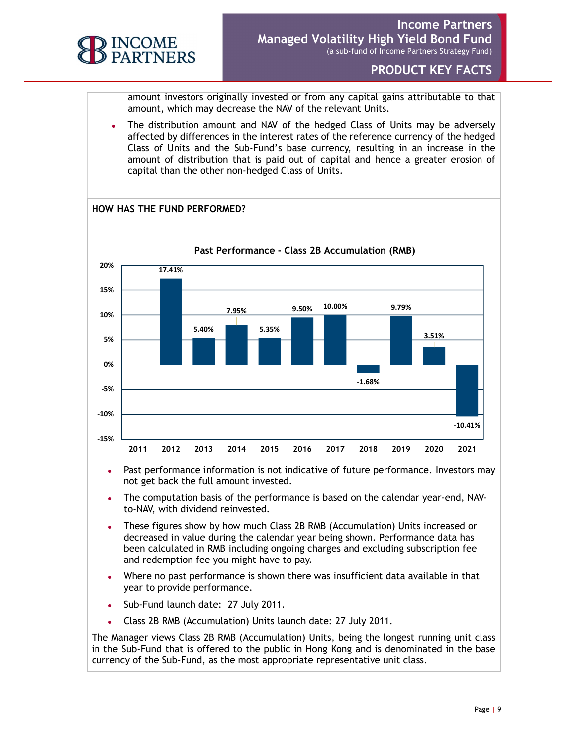

amount investors originally invested or from any capital gains attributable to that amount, which may decrease the NAV of the relevant Units.

The distribution amount and NAV of the hedged Class of Units may be adversely affected by differences in the interest rates of the reference currency of the hedged Class of Units and the Sub-Fund's base currency, resulting in an increase in the amount of distribution that is paid out of capital and hence a greater erosion of capital than the other non-hedged Class of Units.



- Past performance information is not indicative of future performance. Investors may not get back the full amount invested.
- The computation basis of the performance is based on the calendar year-end, NAVto-NAV, with dividend reinvested.
- These figures show by how much Class 2B RMB (Accumulation) Units increased or decreased in value during the calendar year being shown. Performance data has been calculated in RMB including ongoing charges and excluding subscription fee and redemption fee you might have to pay.
- Where no past performance is shown there was insufficient data available in that year to provide performance.
- Sub-Fund launch date: 27 July 2011.
- Class 2B RMB (Accumulation) Units launch date: 27 July 2011.

The Manager views Class 2B RMB (Accumulation) Units, being the longest running unit class in the Sub-Fund that is offered to the public in Hong Kong and is denominated in the base currency of the Sub-Fund, as the most appropriate representative unit class.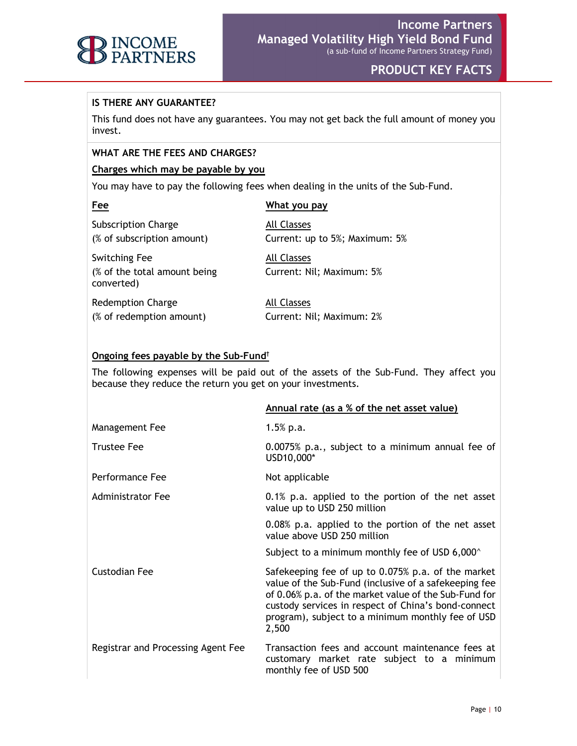

## IS THERE ANY GUARANTEE?

This fund does not have any guarantees. You may not get back the full amount of money you invest.

## WHAT ARE THE FEES AND CHARGES?

#### Charges which may be payable by you

You may have to pay the following fees when dealing in the units of the Sub-Fund.

## Fee What you pay

| <b>Subscription Charge</b>                                         | All Classes                              |
|--------------------------------------------------------------------|------------------------------------------|
| (% of subscription amount)                                         | Current: up to 5%; Maximum: 5%           |
| <b>Switching Fee</b><br>(% of the total amount being<br>converted) | All Classes<br>Current: Nil; Maximum: 5% |
| <b>Redemption Charge</b>                                           | All Classes                              |
| (% of redemption amount)                                           | Current: Nil; Maximum: 2%                |

### Ongoing fees payable by the Sub-Fund†

The following expenses will be paid out of the assets of the Sub-Fund. They affect you because they reduce the return you get on your investments.

|                                    | Annual rate (as a % of the net asset value)                                                                                                                                                                                                                                               |
|------------------------------------|-------------------------------------------------------------------------------------------------------------------------------------------------------------------------------------------------------------------------------------------------------------------------------------------|
| Management Fee                     | $1.5%$ p.a.                                                                                                                                                                                                                                                                               |
| Trustee Fee                        | 0.0075% p.a., subject to a minimum annual fee of<br>USD10,000*                                                                                                                                                                                                                            |
| Performance Fee                    | Not applicable                                                                                                                                                                                                                                                                            |
| Administrator Fee                  | 0.1% p.a. applied to the portion of the net asset<br>value up to USD 250 million                                                                                                                                                                                                          |
|                                    | 0.08% p.a. applied to the portion of the net asset<br>value above USD 250 million                                                                                                                                                                                                         |
|                                    | Subject to a minimum monthly fee of USD $6,000^{\circ}$                                                                                                                                                                                                                                   |
| Custodian Fee                      | Safekeeping fee of up to 0.075% p.a. of the market<br>value of the Sub-Fund (inclusive of a safekeeping fee<br>of 0.06% p.a. of the market value of the Sub-Fund for<br>custody services in respect of China's bond-connect<br>program), subject to a minimum monthly fee of USD<br>2,500 |
| Registrar and Processing Agent Fee | Transaction fees and account maintenance fees at<br>customary market rate subject to a minimum<br>monthly fee of USD 500                                                                                                                                                                  |